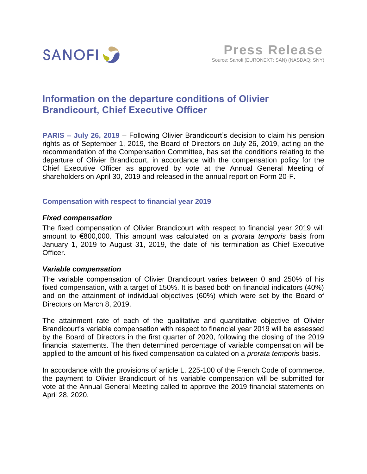

# **Information on the departure conditions of Olivier Brandicourt, Chief Executive Officer**

**PARIS – July 26, 2019** – Following Olivier Brandicourt's decision to claim his pension rights as of September 1, 2019, the Board of Directors on July 26, 2019, acting on the recommendation of the Compensation Committee, has set the conditions relating to the departure of Olivier Brandicourt, in accordance with the compensation policy for the Chief Executive Officer as approved by vote at the Annual General Meeting of shareholders on April 30, 2019 and released in the annual report on Form 20-F.

## **Compensation with respect to financial year 2019**

## *Fixed compensation*

The fixed compensation of Olivier Brandicourt with respect to financial year 2019 will amount to €800,000. This amount was calculated on a *prorata temporis* basis from January 1, 2019 to August 31, 2019, the date of his termination as Chief Executive Officer.

## *Variable compensation*

The variable compensation of Olivier Brandicourt varies between 0 and 250% of his fixed compensation, with a target of 150%. It is based both on financial indicators (40%) and on the attainment of individual objectives (60%) which were set by the Board of Directors on March 8, 2019.

The attainment rate of each of the qualitative and quantitative objective of Olivier Brandicourt's variable compensation with respect to financial year 2019 will be assessed by the Board of Directors in the first quarter of 2020, following the closing of the 2019 financial statements. The then determined percentage of variable compensation will be applied to the amount of his fixed compensation calculated on a *prorata temporis* basis.

In accordance with the provisions of article L. 225-100 of the French Code of commerce, the payment to Olivier Brandicourt of his variable compensation will be submitted for vote at the Annual General Meeting called to approve the 2019 financial statements on April 28, 2020.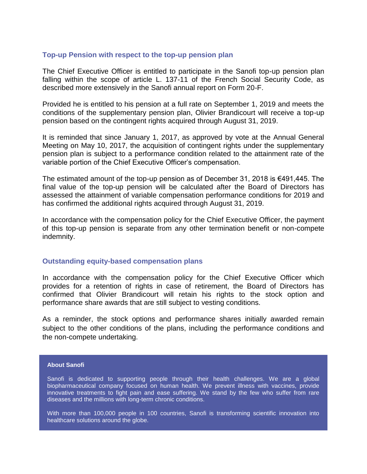## **Top-up Pension with respect to the top-up pension plan**

The Chief Executive Officer is entitled to participate in the Sanofi top-up pension plan falling within the scope of article L. 137-11 of the French Social Security Code, as described more extensively in the Sanofi annual report on Form 20-F.

Provided he is entitled to his pension at a full rate on September 1, 2019 and meets the conditions of the supplementary pension plan, Olivier Brandicourt will receive a top-up pension based on the contingent rights acquired through August 31, 2019.

It is reminded that since January 1, 2017, as approved by vote at the Annual General Meeting on May 10, 2017, the acquisition of contingent rights under the supplementary pension plan is subject to a performance condition related to the attainment rate of the variable portion of the Chief Executive Officer's compensation.

The estimated amount of the top-up pension as of December 31, 2018 is €491,445. The final value of the top-up pension will be calculated after the Board of Directors has assessed the attainment of variable compensation performance conditions for 2019 and has confirmed the additional rights acquired through August 31, 2019.

In accordance with the compensation policy for the Chief Executive Officer, the payment of this top-up pension is separate from any other termination benefit or non-compete indemnity.

#### **Outstanding equity-based compensation plans**

In accordance with the compensation policy for the Chief Executive Officer which provides for a retention of rights in case of retirement, the Board of Directors has confirmed that Olivier Brandicourt will retain his rights to the stock option and performance share awards that are still subject to vesting conditions.

As a reminder, the stock options and performance shares initially awarded remain subject to the other conditions of the plans, including the performance conditions and the non-compete undertaking.

#### **About Sanofi**

Sanofi is dedicated to supporting people through their health challenges. We are a global biopharmaceutical company focused on human health. We prevent illness with vaccines, provide innovative treatments to fight pain and ease suffering. We stand by the few who suffer from rare diseases and the millions with long-term chronic conditions.

With more than 100,000 people in 100 countries, Sanofi is transforming scientific innovation into healthcare solutions around the globe.